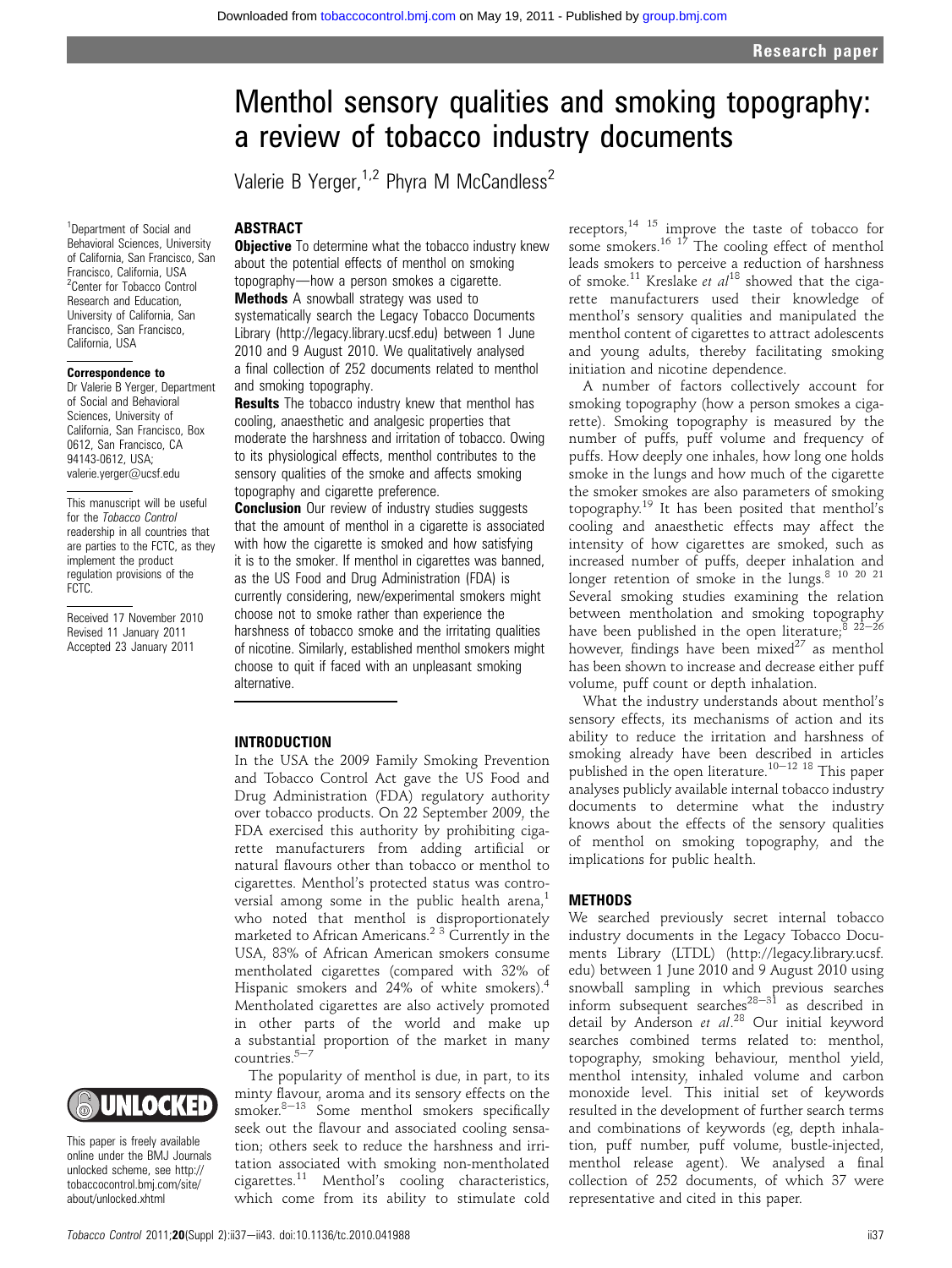# Menthol sensory qualities and smoking topography: a review of tobacco industry documents

Valerie B Yerger,  $1,2$  Phyra M McCandless<sup>2</sup>

# ABSTRACT

**Objective** To determine what the tobacco industry knew about the potential effects of menthol on smoking topography-how a person smokes a cigarette. **Methods** A snowball strategy was used to systematically search the Legacy Tobacco Documents Library (http://legacy.library.ucsf.edu) between 1 June 2010 and 9 August 2010. We qualitatively analysed a final collection of 252 documents related to menthol and smoking topography.

**Results** The tobacco industry knew that menthol has cooling, anaesthetic and analgesic properties that moderate the harshness and irritation of tobacco. Owing to its physiological effects, menthol contributes to the sensory qualities of the smoke and affects smoking topography and cigarette preference.

**Conclusion** Our review of industry studies suggests that the amount of menthol in a cigarette is associated with how the cigarette is smoked and how satisfying it is to the smoker. If menthol in cigarettes was banned, as the US Food and Drug Administration (FDA) is currently considering, new/experimental smokers might choose not to smoke rather than experience the harshness of tobacco smoke and the irritating qualities of nicotine. Similarly, established menthol smokers might choose to quit if faced with an unpleasant smoking alternative.

# INTRODUCTION

In the USA the 2009 Family Smoking Prevention and Tobacco Control Act gave the US Food and Drug Administration (FDA) regulatory authority over tobacco products. On 22 September 2009, the FDA exercised this authority by prohibiting cigarette manufacturers from adding artificial or natural flavours other than tobacco or menthol to cigarettes. Menthol's protected status was controversial among some in the public health arena, $<sup>1</sup>$ </sup> who noted that menthol is disproportionately marketed to African Americans.<sup>23</sup> Currently in the USA, 83% of African American smokers consume mentholated cigarettes (compared with 32% of Hispanic smokers and 24% of white smokers).<sup>4</sup> Mentholated cigarettes are also actively promoted in other parts of the world and make up a substantial proportion of the market in many countries. $5-7$ 

The popularity of menthol is due, in part, to its minty flavour, aroma and its sensory effects on the  $smoker.<sup>8-13</sup>$  Some menthol smokers specifically seek out the flavour and associated cooling sensation; others seek to reduce the harshness and irritation associated with smoking non-mentholated cigarettes.<sup>11</sup> Menthol's cooling characteristics, which come from its ability to stimulate cold

receptors, $14$  15 improve the taste of tobacco for some smokers.<sup>16 17</sup> The cooling effect of menthol leads smokers to perceive a reduction of harshness of smoke.<sup>11</sup> Kreslake et  $al^{18}$  showed that the cigarette manufacturers used their knowledge of menthol's sensory qualities and manipulated the menthol content of cigarettes to attract adolescents and young adults, thereby facilitating smoking initiation and nicotine dependence.

A number of factors collectively account for smoking topography (how a person smokes a cigarette). Smoking topography is measured by the number of puffs, puff volume and frequency of puffs. How deeply one inhales, how long one holds smoke in the lungs and how much of the cigarette the smoker smokes are also parameters of smoking topography.<sup>19</sup> It has been posited that menthol's cooling and anaesthetic effects may affect the intensity of how cigarettes are smoked, such as increased number of puffs, deeper inhalation and longer retention of smoke in the lungs. $8\ 10\ 20\ 21$ Several smoking studies examining the relation between mentholation and smoking topography have been published in the open literature;  $8^{22-26}$ however, findings have been mixed $27$  as menthol has been shown to increase and decrease either puff volume, puff count or depth inhalation.

What the industry understands about menthol's sensory effects, its mechanisms of action and its ability to reduce the irritation and harshness of smoking already have been described in articles published in the open literature. $10-12$  18 This paper analyses publicly available internal tobacco industry documents to determine what the industry knows about the effects of the sensory qualities of menthol on smoking topography, and the implications for public health.

#### **METHODS**

We searched previously secret internal tobacco industry documents in the Legacy Tobacco Documents Library (LTDL) (http://legacy.library.ucsf. edu) between 1 June 2010 and 9 August 2010 using snowball sampling in which previous searches<br>inform subsequent searches<sup>28–31</sup> as described in detail by Anderson et al.<sup>28</sup> Our initial keyword searches combined terms related to: menthol, topography, smoking behaviour, menthol yield, menthol intensity, inhaled volume and carbon monoxide level. This initial set of keywords resulted in the development of further search terms and combinations of keywords (eg, depth inhalation, puff number, puff volume, bustle-injected, menthol release agent). We analysed a final collection of 252 documents, of which 37 were representative and cited in this paper.

<sup>1</sup>Department of Social and Behavioral Sciences, University of California, San Francisco, San Francisco, California, USA <sup>2</sup> Center for Tobacco Control Research and Education, University of California, San Francisco, San Francisco, California, USA

#### Correspondence to

Dr Valerie B Yerger, Department of Social and Behavioral Sciences, University of California, San Francisco, Box 0612, San Francisco, CA 94143-0612, USA; valerie.yerger@ucsf.edu

This manuscript will be useful for the Tobacco Control readership in all countries that are parties to the FCTC, as they implement the product regulation provisions of the FCTC.

Received 17 November 2010 Revised 11 January 2011 Accepted 23 January 2011



This paper is freely available online under the BMJ Journals unlocked scheme, see http:// tobaccocontrol.bmj.com/site/ about/unlocked.xhtml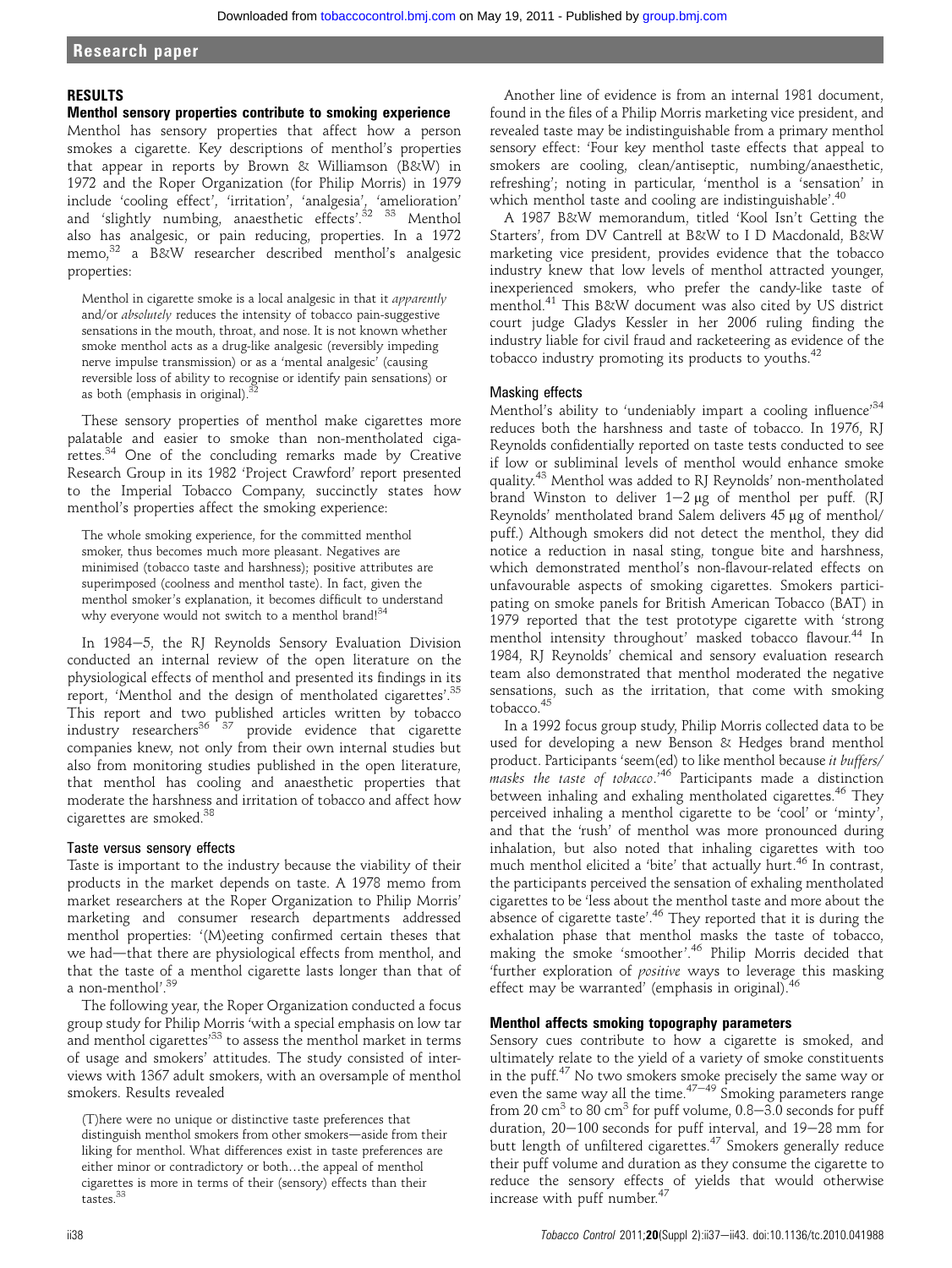# Research paper

# RESULTS

#### Menthol sensory properties contribute to smoking experience

Menthol has sensory properties that affect how a person smokes a cigarette. Key descriptions of menthol's properties that appear in reports by Brown & Williamson (B&W) in 1972 and the Roper Organization (for Philip Morris) in 1979 include 'cooling effect', 'irritation', 'analgesia', 'amelioration' and 'slightly numbing, anaesthetic effects'.<sup>32 33</sup> Menthol also has analgesic, or pain reducing, properties. In a 1972 memo,<sup>32</sup> a B&W researcher described menthol's analgesic properties:

Menthol in cigarette smoke is a local analgesic in that it *apparently* and/or absolutely reduces the intensity of tobacco pain-suggestive sensations in the mouth, throat, and nose. It is not known whether smoke menthol acts as a drug-like analgesic (reversibly impeding nerve impulse transmission) or as a 'mental analgesic' (causing reversible loss of ability to recognise or identify pain sensations) or as both (emphasis in original).<sup>3</sup>

These sensory properties of menthol make cigarettes more palatable and easier to smoke than non-mentholated cigarettes.<sup>34</sup> One of the concluding remarks made by Creative Research Group in its 1982 'Project Crawford' report presented to the Imperial Tobacco Company, succinctly states how menthol's properties affect the smoking experience:

The whole smoking experience, for the committed menthol smoker, thus becomes much more pleasant. Negatives are minimised (tobacco taste and harshness); positive attributes are superimposed (coolness and menthol taste). In fact, given the menthol smoker's explanation, it becomes difficult to understand why everyone would not switch to a menthol brand!<sup>34</sup>

In 1984-5, the RJ Reynolds Sensory Evaluation Division conducted an internal review of the open literature on the physiological effects of menthol and presented its findings in its report, 'Menthol and the design of mentholated cigarettes'.<sup>35</sup> This report and two published articles written by tobacco industry researchers<sup>36 37</sup> provide evidence that cigarette companies knew, not only from their own internal studies but also from monitoring studies published in the open literature, that menthol has cooling and anaesthetic properties that moderate the harshness and irritation of tobacco and affect how cigarettes are smoked.<sup>38</sup>

#### Taste versus sensory effects

Taste is important to the industry because the viability of their products in the market depends on taste. A 1978 memo from market researchers at the Roper Organization to Philip Morris' marketing and consumer research departments addressed menthol properties: '(M)eeting confirmed certain theses that we had-that there are physiological effects from menthol, and that the taste of a menthol cigarette lasts longer than that of a non-menthol'. 39

The following year, the Roper Organization conducted a focus group study for Philip Morris 'with a special emphasis on low tar and menthol cigarettes' $^{33}$  to assess the menthol market in terms of usage and smokers' attitudes. The study consisted of interviews with 1367 adult smokers, with an oversample of menthol smokers. Results revealed

(T)here were no unique or distinctive taste preferences that distinguish menthol smokers from other smokers—aside from their liking for menthol. What differences exist in taste preferences are either minor or contradictory or both...the appeal of menthol cigarettes is more in terms of their (sensory) effects than their tastes.<sup>35</sup>

Another line of evidence is from an internal 1981 document, found in the files of a Philip Morris marketing vice president, and revealed taste may be indistinguishable from a primary menthol sensory effect: 'Four key menthol taste effects that appeal to smokers are cooling, clean/antiseptic, numbing/anaesthetic, refreshing'; noting in particular, 'menthol is a 'sensation' in which menthol taste and cooling are indistinguishable'.<sup>40</sup>

A 1987 B&W memorandum, titled 'Kool Isn't Getting the Starters', from DV Cantrell at B&W to I D Macdonald, B&W marketing vice president, provides evidence that the tobacco industry knew that low levels of menthol attracted younger, inexperienced smokers, who prefer the candy-like taste of menthol.<sup>41</sup> This B&W document was also cited by US district court judge Gladys Kessler in her 2006 ruling finding the industry liable for civil fraud and racketeering as evidence of the tobacco industry promoting its products to youths. $42$ 

# Masking effects

Menthol's ability to 'undeniably impart a cooling influence'<sup>34</sup> reduces both the harshness and taste of tobacco. In 1976, RJ Reynolds confidentially reported on taste tests conducted to see if low or subliminal levels of menthol would enhance smoke quality.<sup>43</sup> Menthol was added to RJ Reynolds' non-mentholated brand Winston to deliver  $1-2 \mu$ g of menthol per puff. (RJ Reynolds' mentholated brand Salem delivers 45 µg of menthol/ puff.) Although smokers did not detect the menthol, they did notice a reduction in nasal sting, tongue bite and harshness, which demonstrated menthol's non-flavour-related effects on unfavourable aspects of smoking cigarettes. Smokers participating on smoke panels for British American Tobacco (BAT) in 1979 reported that the test prototype cigarette with 'strong menthol intensity throughout' masked tobacco flavour.<sup>44</sup> In 1984, RJ Reynolds' chemical and sensory evaluation research team also demonstrated that menthol moderated the negative sensations, such as the irritation, that come with smoking tobacco.<sup>45</sup>

In a 1992 focus group study, Philip Morris collected data to be used for developing a new Benson & Hedges brand menthol product. Participants 'seem(ed) to like menthol because it buffers/ masks the taste of tobacco.<sup>146</sup> Participants made a distinction between inhaling and exhaling mentholated cigarettes.<sup>46</sup> They perceived inhaling a menthol cigarette to be 'cool' or 'minty', and that the 'rush' of menthol was more pronounced during inhalation, but also noted that inhaling cigarettes with too much menthol elicited a 'bite' that actually hurt.<sup>46</sup> In contrast, the participants perceived the sensation of exhaling mentholated cigarettes to be 'less about the menthol taste and more about the absence of cigarette taste'. <sup>46</sup> They reported that it is during the exhalation phase that menthol masks the taste of tobacco, making the smoke 'smoother'. <sup>46</sup> Philip Morris decided that 'further exploration of positive ways to leverage this masking effect may be warranted' (emphasis in original).

# Menthol affects smoking topography parameters

Sensory cues contribute to how a cigarette is smoked, and ultimately relate to the yield of a variety of smoke constituents in the puff.<sup>47</sup> No two smokers smoke precisely the same way or even the same way all the time.<sup>47–49</sup> Smoking parameters range from 20 cm<sup>3</sup> to 80 cm<sup>3</sup> for puff volume,  $0.8-3.0$  seconds for puff duration,  $20-100$  seconds for puff interval, and  $19-28$  mm for butt length of unfiltered cigarettes.<sup>47</sup> Smokers generally reduce their puff volume and duration as they consume the cigarette to reduce the sensory effects of yields that would otherwise increase with puff number.<sup>47</sup>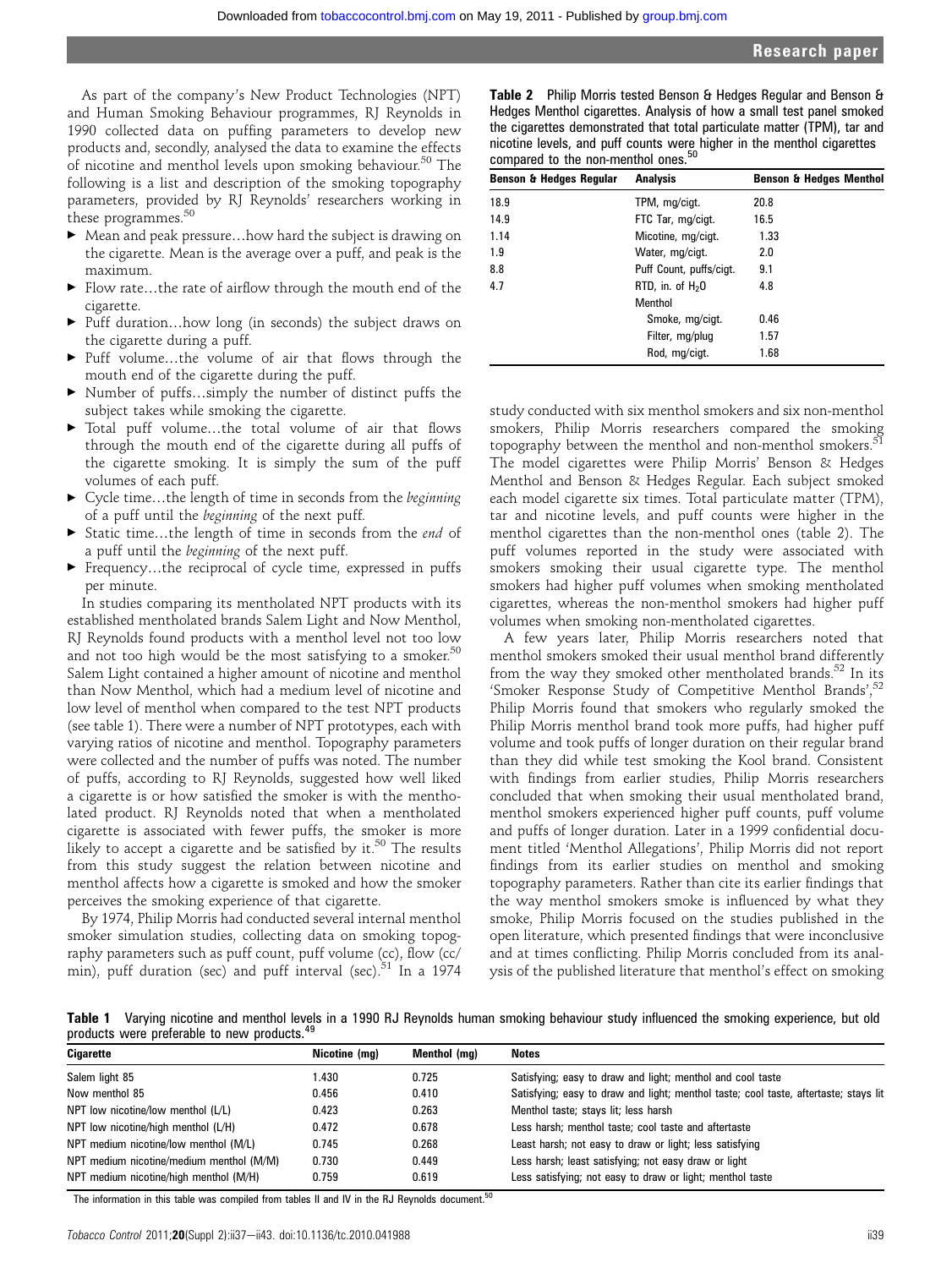As part of the company's New Product Technologies (NPT) and Human Smoking Behaviour programmes, RJ Reynolds in 1990 collected data on puffing parameters to develop new products and, secondly, analysed the data to examine the effects of nicotine and menthol levels upon smoking behaviour.<sup>50</sup> The following is a list and description of the smoking topography parameters, provided by RJ Reynolds' researchers working in these programmes.<sup>50</sup>

- Mean and peak pressure...how hard the subject is drawing on the cigarette. Mean is the average over a puff, and peak is the maximum.
- Flow rate...the rate of airflow through the mouth end of the cigarette.
- Puff duration...how long (in seconds) the subject draws on the cigarette during a puff.
- $\blacktriangleright$  Puff volume...the volume of air that flows through the mouth end of the cigarette during the puff.
- $\triangleright$  Number of puffs...simply the number of distinct puffs the subject takes while smoking the cigarette.
- Total puff volume...the total volume of air that flows through the mouth end of the cigarette during all puffs of the cigarette smoking. It is simply the sum of the puff volumes of each puff.
- $\triangleright$  Cycle time...the length of time in seconds from the beginning of a puff until the beginning of the next puff.
- Static time...the length of time in seconds from the end of a puff until the beginning of the next puff.
- $\blacktriangleright$  Frequency...the reciprocal of cycle time, expressed in puffs per minute.

In studies comparing its mentholated NPT products with its established mentholated brands Salem Light and Now Menthol, RJ Reynolds found products with a menthol level not too low and not too high would be the most satisfying to a smoker. $50$ Salem Light contained a higher amount of nicotine and menthol than Now Menthol, which had a medium level of nicotine and low level of menthol when compared to the test NPT products (see table 1). There were a number of NPT prototypes, each with varying ratios of nicotine and menthol. Topography parameters were collected and the number of puffs was noted. The number of puffs, according to RJ Reynolds, suggested how well liked a cigarette is or how satisfied the smoker is with the mentholated product. RJ Reynolds noted that when a mentholated cigarette is associated with fewer puffs, the smoker is more likely to accept a cigarette and be satisfied by it.<sup>50</sup> The results from this study suggest the relation between nicotine and menthol affects how a cigarette is smoked and how the smoker perceives the smoking experience of that cigarette.

By 1974, Philip Morris had conducted several internal menthol smoker simulation studies, collecting data on smoking topography parameters such as puff count, puff volume (cc), flow (cc/ min), puff duration (sec) and puff interval (sec). $51$  In a 1974

Table 2 Philip Morris tested Benson & Hedges Regular and Benson & Hedges Menthol cigarettes. Analysis of how a small test panel smoked the cigarettes demonstrated that total particulate matter (TPM), tar and nicotine levels, and puff counts were higher in the menthol cigarettes compared to the non-menthol ones.<sup>50</sup>

| <b>Benson &amp; Hedges Regular</b> | <b>Analysis</b>         | <b>Benson &amp; Hedges Menthol</b> |
|------------------------------------|-------------------------|------------------------------------|
| 18.9                               | TPM, mg/cigt.           | 20.8                               |
| 14.9                               | FTC Tar, mg/cigt.       | 16.5                               |
| 1.14                               | Micotine, mg/cigt.      | 1.33                               |
| 1.9                                | Water, mg/cigt.         | 2.0                                |
| 8.8                                | Puff Count, puffs/cigt. | 9.1                                |
| 4.7                                | RTD, in. of $H20$       | 4.8                                |
|                                    | Menthol                 |                                    |
|                                    | Smoke, mg/cigt.         | 0.46                               |
|                                    | Filter, mg/plug         | 1.57                               |
|                                    | Rod, mg/cigt.           | 1.68                               |

study conducted with six menthol smokers and six non-menthol smokers, Philip Morris researchers compared the smoking topography between the menthol and non-menthol smokers.<sup>51</sup> The model cigarettes were Philip Morris' Benson & Hedges Menthol and Benson & Hedges Regular. Each subject smoked each model cigarette six times. Total particulate matter (TPM), tar and nicotine levels, and puff counts were higher in the menthol cigarettes than the non-menthol ones (table 2). The puff volumes reported in the study were associated with smokers smoking their usual cigarette type. The menthol smokers had higher puff volumes when smoking mentholated cigarettes, whereas the non-menthol smokers had higher puff volumes when smoking non-mentholated cigarettes.

A few years later, Philip Morris researchers noted that menthol smokers smoked their usual menthol brand differently from the way they smoked other mentholated brands.<sup>52</sup> In its 'Smoker Response Study of Competitive Menthol Brands',<sup>52</sup> Philip Morris found that smokers who regularly smoked the Philip Morris menthol brand took more puffs, had higher puff volume and took puffs of longer duration on their regular brand than they did while test smoking the Kool brand. Consistent with findings from earlier studies, Philip Morris researchers concluded that when smoking their usual mentholated brand, menthol smokers experienced higher puff counts, puff volume and puffs of longer duration. Later in a 1999 confidential document titled 'Menthol Allegations', Philip Morris did not report findings from its earlier studies on menthol and smoking topography parameters. Rather than cite its earlier findings that the way menthol smokers smoke is influenced by what they smoke, Philip Morris focused on the studies published in the open literature, which presented findings that were inconclusive and at times conflicting. Philip Morris concluded from its analysis of the published literature that menthol's effect on smoking

Table 1 Varying nicotine and menthol levels in a 1990 RJ Reynolds human smoking behaviour study influenced the smoking experience, but old products were preferable to new products.<sup>49</sup>

| <b>Cigarette</b>                         | Nicotine (mg) | Menthol (mg) | <b>Notes</b>                                                                         |
|------------------------------------------|---------------|--------------|--------------------------------------------------------------------------------------|
| Salem light 85                           | .430          | 0.725        | Satisfying; easy to draw and light; menthol and cool taste                           |
| Now menthol 85                           | 0.456         | 0.410        | Satisfying; easy to draw and light; menthol taste; cool taste, aftertaste; stays lit |
| NPT low nicotine/low menthol (L/L)       | 0.423         | 0.263        | Menthol taste; stays lit; less harsh                                                 |
| NPT low nicotine/high menthol (L/H)      | 0.472         | 0.678        | Less harsh; menthol taste; cool taste and aftertaste                                 |
| NPT medium nicotine/low menthol (M/L)    | 0.745         | 0.268        | Least harsh; not easy to draw or light; less satisfying                              |
| NPT medium nicotine/medium menthol (M/M) | 0.730         | 0.449        | Less harsh; least satisfying; not easy draw or light                                 |
| NPT medium nicotine/high menthol (M/H)   | 0.759         | 0.619        | Less satisfying; not easy to draw or light; menthol taste                            |

The information in this table was compiled from tables II and IV in the RJ Reynolds document.<sup>50</sup>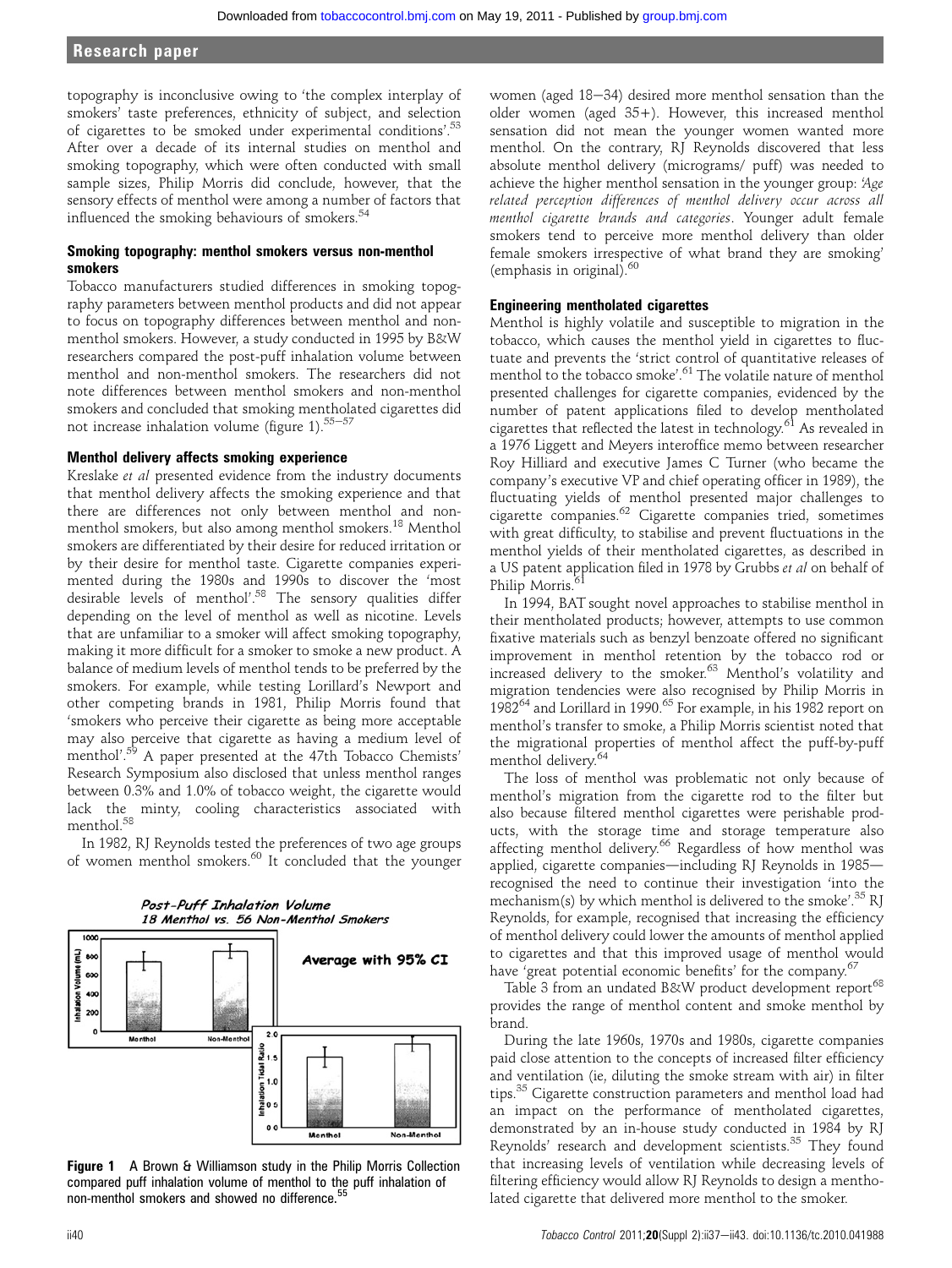Research paper

topography is inconclusive owing to 'the complex interplay of smokers' taste preferences, ethnicity of subject, and selection of cigarettes to be smoked under experimental conditions'.<sup>53</sup> After over a decade of its internal studies on menthol and smoking topography, which were often conducted with small sample sizes, Philip Morris did conclude, however, that the sensory effects of menthol were among a number of factors that influenced the smoking behaviours of smokers.<sup>54</sup>

# Smoking topography: menthol smokers versus non-menthol smokers

Tobacco manufacturers studied differences in smoking topography parameters between menthol products and did not appear to focus on topography differences between menthol and nonmenthol smokers. However, a study conducted in 1995 by B&W researchers compared the post-puff inhalation volume between menthol and non-menthol smokers. The researchers did not note differences between menthol smokers and non-menthol smokers and concluded that smoking mentholated cigarettes did not increase inhalation volume (figure 1). $55-57$ 

## Menthol delivery affects smoking experience

Kreslake et al presented evidence from the industry documents that menthol delivery affects the smoking experience and that there are differences not only between menthol and nonmenthol smokers, but also among menthol smokers.<sup>18</sup> Menthol smokers are differentiated by their desire for reduced irritation or by their desire for menthol taste. Cigarette companies experimented during the 1980s and 1990s to discover the 'most desirable levels of menthol'. <sup>58</sup> The sensory qualities differ depending on the level of menthol as well as nicotine. Levels that are unfamiliar to a smoker will affect smoking topography, making it more difficult for a smoker to smoke a new product. A balance of medium levels of menthol tends to be preferred by the smokers. For example, while testing Lorillard's Newport and other competing brands in 1981, Philip Morris found that 'smokers who perceive their cigarette as being more acceptable may also perceive that cigarette as having a medium level of menthol'. <sup>59</sup> A paper presented at the 47th Tobacco Chemists' Research Symposium also disclosed that unless menthol ranges between 0.3% and 1.0% of tobacco weight, the cigarette would lack the minty, cooling characteristics associated with menthol.<sup>58</sup>

In 1982, RJ Reynolds tested the preferences of two age groups of women menthol smokers.<sup>60</sup> It concluded that the younger

**Post-Puff Inhalation Volume** 



Figure 1 A Brown & Williamson study in the Philip Morris Collection

compared puff inhalation volume of menthol to the puff inhalation of

non-menthol smokers and showed no difference.<sup>55</sup>

women (aged  $18-34$ ) desired more menthol sensation than the older women (aged 35+). However, this increased menthol sensation did not mean the younger women wanted more menthol. On the contrary, RJ Reynolds discovered that less absolute menthol delivery (micrograms/ puff) was needed to achieve the higher menthol sensation in the younger group: 'Age related perception differences of menthol delivery occur across all menthol cigarette brands and categories. Younger adult female smokers tend to perceive more menthol delivery than older female smokers irrespective of what brand they are smoking' (emphasis in original).<sup>60</sup>

# Engineering mentholated cigarettes

Menthol is highly volatile and susceptible to migration in the tobacco, which causes the menthol yield in cigarettes to fluctuate and prevents the 'strict control of quantitative releases of menthol to the tobacco smoke'. <sup>61</sup> The volatile nature of menthol presented challenges for cigarette companies, evidenced by the number of patent applications filed to develop mentholated cigarettes that reflected the latest in technology.<sup>61</sup> As revealed in a 1976 Liggett and Meyers interoffice memo between researcher Roy Hilliard and executive James C Turner (who became the company's executive VP and chief operating officer in 1989), the fluctuating yields of menthol presented major challenges to cigarette companies.<sup>62</sup> Cigarette companies tried, sometimes with great difficulty, to stabilise and prevent fluctuations in the menthol yields of their mentholated cigarettes, as described in a US patent application filed in 1978 by Grubbs et al on behalf of Philip Morris.<sup>6</sup>

In 1994, BAT sought novel approaches to stabilise menthol in their mentholated products; however, attempts to use common fixative materials such as benzyl benzoate offered no significant improvement in menthol retention by the tobacco rod or increased delivery to the smoker.63 Menthol's volatility and migration tendencies were also recognised by Philip Morris in 1982<sup>64</sup> and Lorillard in 1990.<sup>65</sup> For example, in his 1982 report on menthol's transfer to smoke, a Philip Morris scientist noted that the migrational properties of menthol affect the puff-by-puff menthol delivery.<sup>6</sup>

The loss of menthol was problematic not only because of menthol's migration from the cigarette rod to the filter but also because filtered menthol cigarettes were perishable products, with the storage time and storage temperature also affecting menthol delivery.<sup>66</sup> Regardless of how menthol was applied, cigarette companies—including RJ Reynolds in  $1985$ recognised the need to continue their investigation 'into the mechanism(s) by which menthol is delivered to the smoke'. <sup>35</sup> RJ Reynolds, for example, recognised that increasing the efficiency of menthol delivery could lower the amounts of menthol applied to cigarettes and that this improved usage of menthol would have 'great potential economic benefits' for the company.<sup>67</sup>

Table 3 from an undated B&W product development report<sup>68</sup> provides the range of menthol content and smoke menthol by brand.

During the late 1960s, 1970s and 1980s, cigarette companies paid close attention to the concepts of increased filter efficiency and ventilation (ie, diluting the smoke stream with air) in filter tips.<sup>35</sup> Cigarette construction parameters and menthol load had an impact on the performance of mentholated cigarettes, demonstrated by an in-house study conducted in 1984 by RJ Reynolds' research and development scientists.<sup>35</sup> They found that increasing levels of ventilation while decreasing levels of filtering efficiency would allow RJ Reynolds to design a mentholated cigarette that delivered more menthol to the smoker.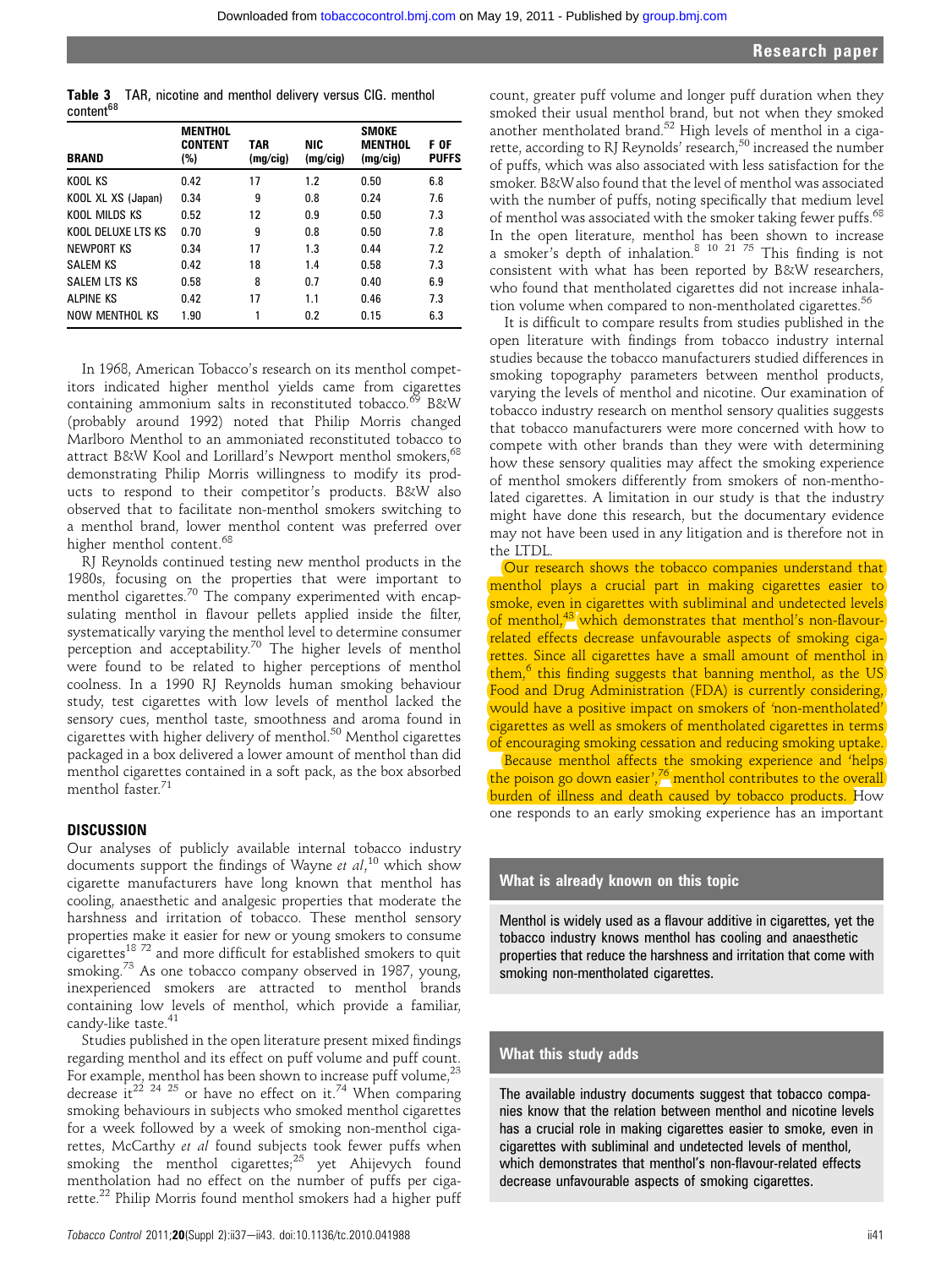Table 3 TAR, nicotine and menthol delivery versus CIG. menthol content<sup>68</sup>

| <b>BRAND</b>        | <b>MENTHOL</b><br>CONTENT<br>(%) | <b>TAR</b><br>(mg/cig) | <b>NIC</b><br>(mg/cig) | <b>SMOKE</b><br><b>MENTHOL</b><br>(mq/cig) | F OF<br><b>PUFFS</b> |
|---------------------|----------------------------------|------------------------|------------------------|--------------------------------------------|----------------------|
| KOOL KS             | 0.42                             | 17                     | 1.2                    | 0.50                                       | 6.8                  |
| KOOL XL XS (Japan)  | 0.34                             | 9                      | 0.8                    | 0.24                                       | 7.6                  |
| kool milds ks       | 0.52                             | 12                     | 0.9                    | 0.50                                       | 7.3                  |
| KOOL DELUXE LTS KS  | 0.70                             | 9                      | 0.8                    | 0.50                                       | 7.8                  |
| NEWPORT KS          | 0.34                             | 17                     | 1.3                    | 0.44                                       | 7.2                  |
| <b>SALEM KS</b>     | 0.42                             | 18                     | 1.4                    | 0.58                                       | 7.3                  |
| <b>SALEM LTS KS</b> | 0.58                             | 8                      | 0.7                    | 0.40                                       | 6.9                  |
| <b>ALPINE KS</b>    | 0.42                             | 17                     | 1.1                    | 0.46                                       | 7.3                  |
| NOW MENTHOL KS      | 1.90                             |                        | 0.2                    | 0.15                                       | 6.3                  |
|                     |                                  |                        |                        |                                            |                      |

In 1968, American Tobacco's research on its menthol competitors indicated higher menthol yields came from cigarettes containing ammonium salts in reconstituted tobacco.<sup>69</sup> B&W (probably around 1992) noted that Philip Morris changed Marlboro Menthol to an ammoniated reconstituted tobacco to attract B&W Kool and Lorillard's Newport menthol smokers,<sup>68</sup> demonstrating Philip Morris willingness to modify its products to respond to their competitor's products. B&W also observed that to facilitate non-menthol smokers switching to a menthol brand, lower menthol content was preferred over higher menthol content.<sup>68</sup>

RJ Reynolds continued testing new menthol products in the 1980s, focusing on the properties that were important to menthol cigarettes.<sup>70</sup> The company experimented with encapsulating menthol in flavour pellets applied inside the filter, systematically varying the menthol level to determine consumer perception and acceptability.<sup>70</sup> The higher levels of menthol were found to be related to higher perceptions of menthol coolness. In a 1990 RJ Reynolds human smoking behaviour study, test cigarettes with low levels of menthol lacked the sensory cues, menthol taste, smoothness and aroma found in cigarettes with higher delivery of menthol.<sup>50</sup> Menthol cigarettes packaged in a box delivered a lower amount of menthol than did menthol cigarettes contained in a soft pack, as the box absorbed menthol faster.<sup>71</sup>

# **DISCUSSION**

Our analyses of publicly available internal tobacco industry documents support the findings of Wayne et al,<sup>10</sup> which show cigarette manufacturers have long known that menthol has cooling, anaesthetic and analgesic properties that moderate the harshness and irritation of tobacco. These menthol sensory properties make it easier for new or young smokers to consume cigarettes18 72 and more difficult for established smokers to quit smoking.<sup>73</sup> As one tobacco company observed in 1987, young, inexperienced smokers are attracted to menthol brands containing low levels of menthol, which provide a familiar, candy-like taste.<sup>41</sup>

Studies published in the open literature present mixed findings regarding menthol and its effect on puff volume and puff count. For example, menthol has been shown to increase puff volume,  $^{23}$ decrease it<sup>22 24 25</sup> or have no effect on it.<sup>74</sup> When comparing smoking behaviours in subjects who smoked menthol cigarettes for a week followed by a week of smoking non-menthol cigarettes, McCarthy et al found subjects took fewer puffs when smoking the menthol cigarettes;<sup>25</sup> yet Ahijevych found mentholation had no effect on the number of puffs per cigarette.<sup>22</sup> Philip Morris found menthol smokers had a higher puff

count, greater puff volume and longer puff duration when they smoked their usual menthol brand, but not when they smoked another mentholated brand.<sup>52</sup> High levels of menthol in a cigarette, according to RJ Reynolds' research,<sup>50</sup> increased the number of puffs, which was also associated with less satisfaction for the smoker. B&Walso found that the level of menthol was associated with the number of puffs, noting specifically that medium level of menthol was associated with the smoker taking fewer puffs.<sup>68</sup> In the open literature, menthol has been shown to increase a smoker's depth of inhalation.<sup>8 10 21 75</sup> This finding is not consistent with what has been reported by B&W researchers, who found that mentholated cigarettes did not increase inhalation volume when compared to non-mentholated cigarettes.<sup>56</sup>

It is difficult to compare results from studies published in the open literature with findings from tobacco industry internal studies because the tobacco manufacturers studied differences in smoking topography parameters between menthol products, varying the levels of menthol and nicotine. Our examination of tobacco industry research on menthol sensory qualities suggests that tobacco manufacturers were more concerned with how to compete with other brands than they were with determining how these sensory qualities may affect the smoking experience of menthol smokers differently from smokers of non-mentholated cigarettes. A limitation in our study is that the industry might have done this research, but the documentary evidence may not have been used in any litigation and is therefore not in the LTDL.

Our research shows the tobacco companies understand that menthol plays a crucial part in making cigarettes easier to smoke, even in cigarettes with subliminal and undetected levels of menthol,<sup>43</sup> which demonstrates that menthol's non-flavourrelated effects decrease unfavourable aspects of smoking cigarettes. Since all cigarettes have a small amount of menthol in them, $6$  this finding suggests that banning menthol, as the US Food and Drug Administration (FDA) is currently considering, would have a positive impact on smokers of 'non-mentholated' cigarettes as well as smokers of mentholated cigarettes in terms of encouraging smoking cessation and reducing smoking uptake.

Because menthol affects the smoking experience and 'helps the poison go down easier',<sup>76</sup> menthol contributes to the overall burden of illness and death caused by tobacco products. How one responds to an early smoking experience has an important

# What is already known on this topic

Menthol is widely used as a flavour additive in cigarettes, yet the tobacco industry knows menthol has cooling and anaesthetic properties that reduce the harshness and irritation that come with smoking non-mentholated cigarettes.

# What this study adds

The available industry documents suggest that tobacco companies know that the relation between menthol and nicotine levels has a crucial role in making cigarettes easier to smoke, even in cigarettes with subliminal and undetected levels of menthol, which demonstrates that menthol's non-flavour-related effects decrease unfavourable aspects of smoking cigarettes.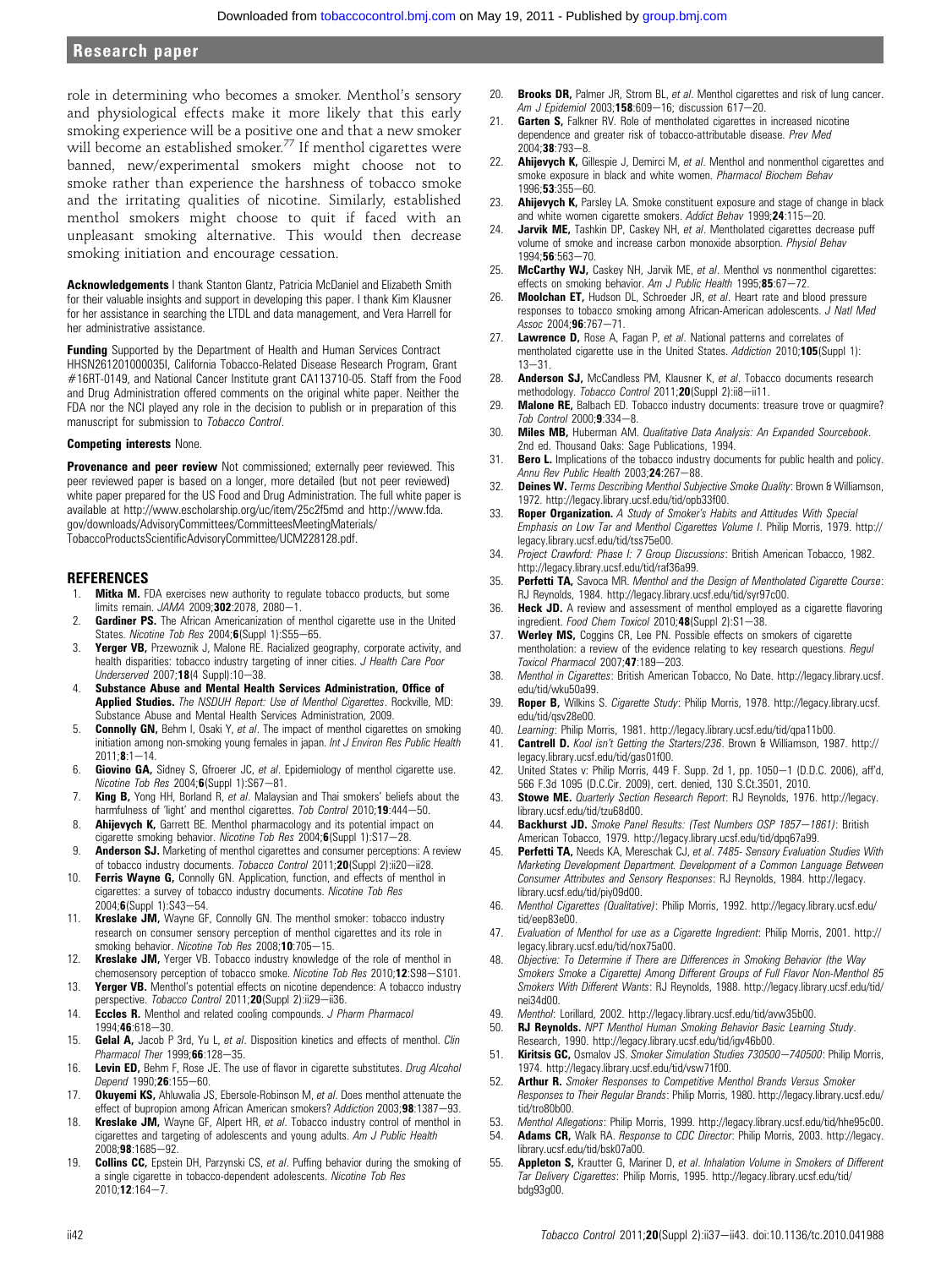# Research paper

role in determining who becomes a smoker. Menthol's sensory and physiological effects make it more likely that this early smoking experience will be a positive one and that a new smoker will become an established smoker.<sup>77</sup> If menthol cigarettes were banned, new/experimental smokers might choose not to smoke rather than experience the harshness of tobacco smoke and the irritating qualities of nicotine. Similarly, established menthol smokers might choose to quit if faced with an unpleasant smoking alternative. This would then decrease smoking initiation and encourage cessation.

Acknowledgements I thank Stanton Glantz, Patricia McDaniel and Elizabeth Smith for their valuable insights and support in developing this paper. I thank Kim Klausner for her assistance in searching the LTDL and data management, and Vera Harrell for her administrative assistance.

Funding Supported by the Department of Health and Human Services Contract HHSN261201000035I, California Tobacco-Related Disease Research Program, Grant #16RT-0149, and National Cancer Institute grant CA113710-05. Staff from the Food and Drug Administration offered comments on the original white paper. Neither the FDA nor the NCI played any role in the decision to publish or in preparation of this manuscript for submission to Tobacco Control.

#### Competing interests None.

Provenance and peer review Not commissioned; externally peer reviewed. This peer reviewed paper is based on a longer, more detailed (but not peer reviewed) white paper prepared for the US Food and Drug Administration. The full white paper is available at http://www.escholarship.org/uc/item/25c2f5md and http://www.fda. gov/downloads/AdvisoryCommittees/CommitteesMeetingMaterials/ TobaccoProductsScientificAdvisoryCommittee/UCM228128.pdf.

#### **REFERENCES**

- 1. **Mitka M.** FDA exercises new authority to regulate tobacco products, but some limits remain. JAMA 2009;302:2078, 2080-1.
- Gardiner PS. The African Americanization of menthol cigarette use in the United States. Nicotine Tob Res 2004:6(Suppl 1):S55-65.
- 3. Yerger VB, Przewoznik J, Malone RE. Racialized geography, corporate activity, and health disparities: tobacco industry targeting of inner cities. J Health Care Poor Underserved 2007;18(4 Suppl):10-38.
- 4. Substance Abuse and Mental Health Services Administration, Office of Applied Studies. The NSDUH Report: Use of Menthol Cigarettes. Rockville, MD: Substance Abuse and Mental Health Services Administration, 2009.
- 5. **Connolly GN,** Behm I, Osaki Y, et al. The impact of menthol cigarettes on smoking initiation among non-smoking young females in japan. Int J Environ Res Public Health  $2011:8:1-14.$
- 6. Giovino GA, Sidney S, Gfroerer JC, et al. Epidemiology of menthol cigarette use. Nicotine Tob Res 2004;6(Suppl 1):S67-81.
- 7. **King B,** Yong HH, Borland R, et al. Malaysian and Thai smokers' beliefs about the harmfulness of 'light' and menthol cigarettes. Tob Control 2010;19:444-50.
- 8. **Ahijevych K,** Garrett BE. Menthol pharmacology and its potential impact on cigarette smoking behavior. Nicotine Tob Res  $2004$ ; 6(Suppl 1):S17-28.
- 9. **Anderson SJ.** Marketing of menthol cigarettes and consumer perceptions: A review of tobacco industry documents. Tobacco Control 2011;20(Suppl 2):ii20-ii28.
- 10. Ferris Wayne G, Connolly GN. Application, function, and effects of menthol in cigarettes: a survey of tobacco industry documents. Nicotine Tob Res  $2004$ : 6(Suppl 1): S43-54.
- 11. **Kreslake JM, Wayne GF, Connolly GN. The menthol smoker: tobacco industry** research on consumer sensory perception of menthol cigarettes and its role in smoking behavior. Nicotine Tob Res 2008;10:705-15.
- 12. **Kreslake JM,** Yerger VB. Tobacco industry knowledge of the role of menthol in chemosensory perception of tobacco smoke. Nicotine Tob Res 2010;12:S98-S101.
- 13. **Yerger VB.** Menthol's potential effects on nicotine dependence: A tobacco industry perspective. Tobacco Control 2011;20 (Suppl 2):ii29-ii36.
- 14. **Eccles R.** Menthol and related cooling compounds. J Pharm Pharmacol 1994:46:618-30.
- 15. Gelal A, Jacob P 3rd, Yu L, et al. Disposition kinetics and effects of menthol. Clin Pharmacol Ther 1999;66:128-35.
- 16. Levin ED, Behm F, Rose JE. The use of flavor in cigarette substitutes. Drug Alcohol Depend 1990;26:155-60.
- 17. **Okuyemi KS,** Ahluwalia JS, Ebersole-Robinson M, et al. Does menthol attenuate the effect of bupropion among African American smokers? Addiction 2003;98:1387-93.
- 18. **Kreslake JM,** Wayne GF, Alpert HR, et al. Tobacco industry control of menthol in cigarettes and targeting of adolescents and young adults. Am J Public Health 2008;98:1685-92.
- 19. **Collins CC,** Epstein DH, Parzynski CS, et al. Puffing behavior during the smoking of a single cigarette in tobacco-dependent adolescents. Nicotine Tob Res  $2010:12:164 - 7.$
- 20. **Brooks DR, Palmer JR, Strom BL, et al. Menthol cigarettes and risk of lung cancer.** Am J Epidemiol 2003;158:609-16; discussion 617-20.
- 21. **Garten S, Falkner RV. Role of mentholated cigarettes in increased nicotine** dependence and greater risk of tobacco-attributable disease. Prev Med  $2004:38:793 - 8$
- 22. **Ahijevych K,** Gillespie J, Demirci M, et al. Menthol and nonmenthol cigarettes and smoke exposure in black and white women. Pharmacol Biochem Behav  $1996:53:355 - 60$
- 23. **Ahijevych K,** Parsley LA. Smoke constituent exposure and stage of change in black and white women cigarette smokers. Addict Behav 1999;24:115-20.
- 24. Jarvik ME, Tashkin DP, Caskey NH, et al. Mentholated cigarettes decrease puff volume of smoke and increase carbon monoxide absorption. Physiol Behav 1994;56:563-70.
- 25. McCarthy WJ, Caskey NH, Jarvik ME, et al. Menthol vs nonmenthol cigarettes: effects on smoking behavior. Am J Public Health 1995:85:67-72.
- 26. Moolchan ET, Hudson DL, Schroeder JR, et al. Heart rate and blood pressure responses to tobacco smoking among African-American adolescents. J Natl Med Assoc 2004;96:767-71.
- 27. Lawrence D, Rose A, Fagan P, et al. National patterns and correlates of mentholated cigarette use in the United States. Addiction 2010;105(Suppl 1):  $13 - 31$
- 28. Anderson SJ, McCandless PM, Klausner K, et al. Tobacco documents research methodology. Tobacco Control 2011;20(Suppl 2):ii8-ii11.
- 29. Malone RE, Balbach ED. Tobacco industry documents: treasure trove or quagmire?  $Tob$  Control 2000: $9:334-8$ .
- 30. Miles MB, Huberman AM. Qualitative Data Analysis: An Expanded Sourcebook. 2nd ed. Thousand Oaks: Sage Publications, 1994.
- 31. Bero L. Implications of the tobacco industry documents for public health and policy. Annu Rev Public Health 2003;24:267-88.
- 32. **Deines W.** Terms Describing Menthol Subjective Smoke Quality: Brown & Williamson, 1972. http://legacy.library.ucsf.edu/tid/opb33f00.
- 33. Roper Organization. A Study of Smoker's Habits and Attitudes With Special Emphasis on Low Tar and Menthol Cigarettes Volume I. Philip Morris, 1979. http:// legacy.library.ucsf.edu/tid/tss75e00.
- 34. Project Crawford: Phase I: 7 Group Discussions: British American Tobacco, 1982. http://legacy.library.ucsf.edu/tid/raf36a99.
- 35. Perfetti TA, Savoca MR. Menthol and the Design of Mentholated Cigarette Course: RJ Reynolds, 1984. http://legacy.library.ucsf.edu/tid/syr97c00.
- 36. Heck JD. A review and assessment of menthol employed as a cigarette flavoring ingredient. Food Chem Toxicol 2010;48(Suppl 2):S1-38.
- 37. Werley MS, Coggins CR, Lee PN. Possible effects on smokers of cigarette mentholation: a review of the evidence relating to key research questions. Regul Toxicol Pharmacol 2007;47:189-203.
- 38. Menthol in Cigarettes: British American Tobacco, No Date. http://legacy.library.ucsf. edu/tid/wku50a99.
- 39. Roper B, Wilkins S. Cigarette Study: Philip Morris, 1978. http://legacy.library.ucsf. edu/tid/qsv28e00.
- 40. Learning: Philip Morris, 1981. http://legacy.library.ucsf.edu/tid/qpa11b00.
- 41. **Cantrell D.** Kool isn't Getting the Starters/236. Brown & Williamson, 1987. http:// legacy.library.ucsf.edu/tid/gas01f00.
- 42. United States v: Philip Morris, 449 F. Supp. 2d 1, pp. 1050-1 (D.D.C. 2006), aff'd, 566 F.3d 1095 (D.C.Cir. 2009), cert. denied, 130 S.Ct.3501, 2010.
- 43. Stowe ME. Quarterly Section Research Report: RJ Reynolds, 1976. http://legacy. library.ucsf.edu/tid/tzu68d00.
- 44. Backhurst JD. Smoke Panel Results: (Test Numbers OSP 1857-1861): British American Tobacco, 1979. http://legacy.library.ucsf.edu/tid/dpq67a99.
- 45. Perfetti TA, Needs KA, Mereschak CJ, et al. 7485- Sensory Evaluation Studies With Marketing Development Department. Development of a Common Language Between Consumer Attributes and Sensory Responses: RJ Reynolds, 1984. http://legacy. library.ucsf.edu/tid/piy09d00.
- 46. Menthol Cigarettes (Qualitative): Philip Morris, 1992. http://legacy.library.ucsf.edu/ tid/eep83e00.
- 47. Evaluation of Menthol for use as a Cigarette Ingredient: Philip Morris, 2001. http:// legacy.library.ucsf.edu/tid/nox75a00.
- 48. Objective: To Determine if There are Differences in Smoking Behavior (the Way Smokers Smoke a Cigarette) Among Different Groups of Full Flavor Non-Menthol 85 Smokers With Different Wants: RJ Reynolds, 1988. http://legacy.library.ucsf.edu/tid/ nei34d00.
- 49. Menthol: Lorillard, 2002. http://legacy.library.ucsf.edu/tid/avw35b00.
- 50. RJ Reynolds. NPT Menthol Human Smoking Behavior Basic Learning Study. Research, 1990. http://legacy.library.ucsf.edu/tid/igv46b00.
- 51. Kiritsis GC, Osmalov JS. Smoker Simulation Studies 730500-740500: Philip Morris, 1974. http://legacy.library.ucsf.edu/tid/vsw71f00.
- 52. **Arthur R.** Smoker Responses to Competitive Menthol Brands Versus Smoker Responses to Their Regular Brands: Philip Morris, 1980. http://legacy.library.ucsf.edu/ tid/tro80b00.
- 53. Menthol Allegations: Philip Morris, 1999. http://legacy.library.ucsf.edu/tid/hhe95c00.
- Adams CR, Walk RA. Response to CDC Director: Philip Morris, 2003. http://legacy. library.ucsf.edu/tid/bsk07a00.
- 55. **Appleton S,** Krautter G, Mariner D, et al. Inhalation Volume in Smokers of Different Tar Delivery Cigarettes: Philip Morris, 1995. http://legacy.library.ucsf.edu/tid/ bdg93g00.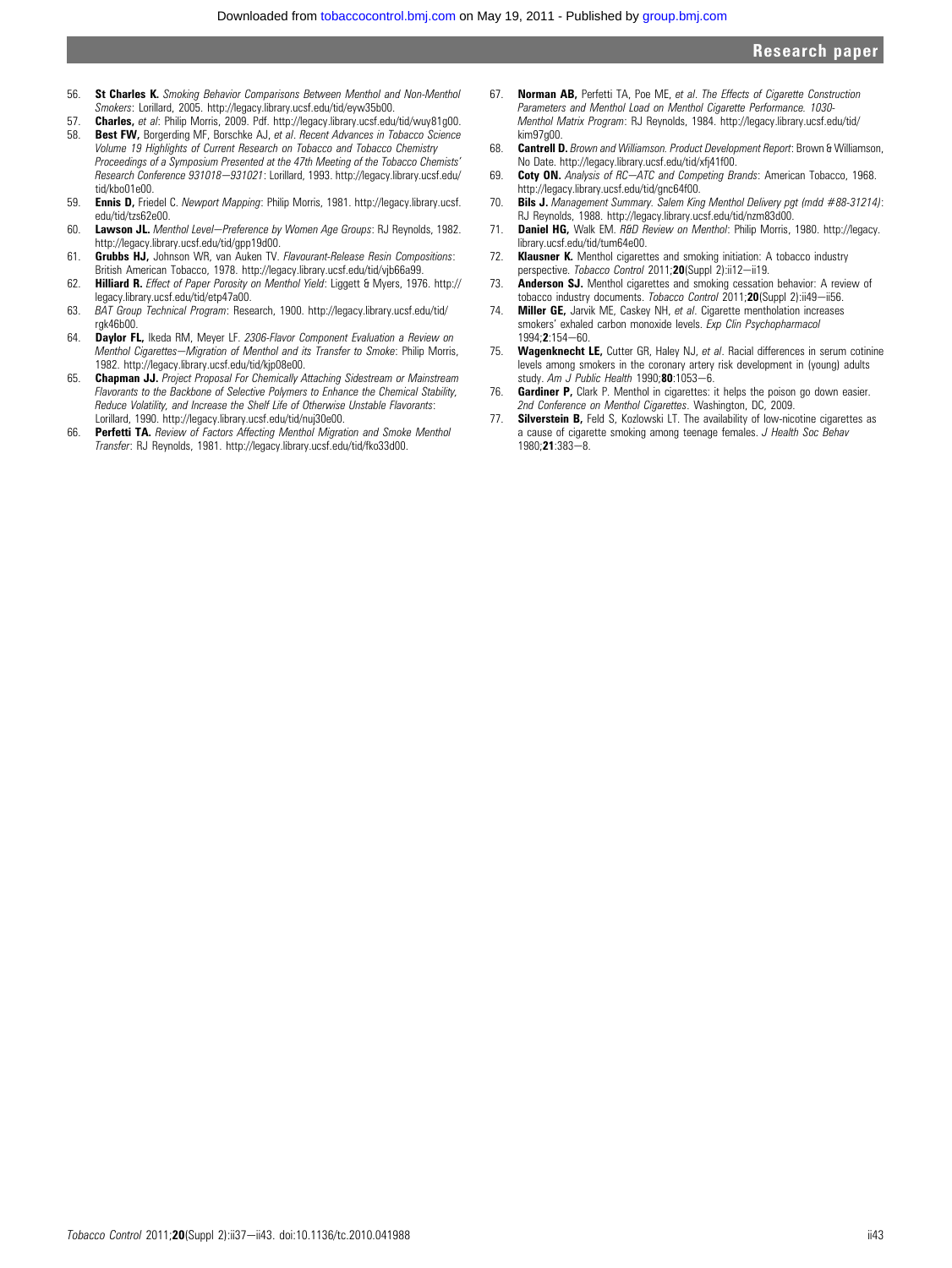- 56. St Charles K. Smoking Behavior Comparisons Between Menthol and Non-Menthol Smokers: Lorillard, 2005. http://legacy.library.ucsf.edu/tid/eyw35b00.
- 57. Charles, et al: Philip Morris, 2009. Pdf. http://legacy.library.ucsf.edu/tid/wuy81g00.<br>58. Best FW. Borgerding MF. Borschke A.J. et al. Recent Advances in Tobacco Science Best FW, Borgerding MF, Borschke AJ, et al. Recent Advances in Tobacco Science Volume 19 Highlights of Current Research on Tobacco and Tobacco Chemistry Proceedings of a Symposium Presented at the 47th Meeting of the Tobacco Chemists' Research Conference 931018-931021: Lorillard, 1993. http://legacy.library.ucsf.edu/ tid/kbo01e00.
- 59. Ennis D, Friedel C. Newport Mapping: Philip Morris, 1981. http://legacy.library.ucsf. edu/tid/tzs62e00.
- 60. **Lawson JL.** Menthol Level-Preference by Women Age Groups: RJ Reynolds, 1982. http://legacy.library.ucsf.edu/tid/gpp19d00.
- 61. Grubbs HJ, Johnson WR, van Auken TV. Flavourant-Release Resin Compositions: British American Tobacco, 1978. http://legacy.library.ucsf.edu/tid/vjb66a99.
- 62. Hilliard R. Effect of Paper Porosity on Menthol Yield: Liggett & Myers, 1976. http:// legacy.library.ucsf.edu/tid/etp47a00.
- 63. BAT Group Technical Program: Research, 1900. http://legacy.library.ucsf.edu/tid/ rgk46b00.
- 64. **Daylor FL,** Ikeda RM, Meyer LF. 2306-Flavor Component Evaluation a Review on Menthol Cigarettes-Migration of Menthol and its Transfer to Smoke: Philip Morris, 1982. http://legacy.library.ucsf.edu/tid/kjp08e00.
- 65. Chapman JJ. Project Proposal For Chemically Attaching Sidestream or Mainstream Flavorants to the Backbone of Selective Polymers to Enhance the Chemical Stability, Reduce Volatility, and Increase the Shelf Life of Otherwise Unstable Flavorants: Lorillard, 1990. http://legacy.library.ucsf.edu/tid/nuj30e00.
- 66. Perfetti TA. Review of Factors Affecting Menthol Migration and Smoke Menthol Transfer: RJ Reynolds, 1981. http://legacy.library.ucsf.edu/tid/fko33d00.
- 67. Norman AB, Perfetti TA, Poe ME, et al. The Effects of Cigarette Construction Parameters and Menthol Load on Menthol Cigarette Performance. 1030- Menthol Matrix Program: RJ Reynolds, 1984. http://legacy.library.ucsf.edu/tid/ kim97g00.
- 68. Cantrell D. Brown and Williamson. Product Development Report: Brown & Williamson, No Date. http://legacy.library.ucsf.edu/tid/xfj41f00.
- 69. Coty ON. Analysis of RC-ATC and Competing Brands: American Tobacco, 1968. http://legacy.library.ucsf.edu/tid/gnc64f00.
- 70. Bils J. Management Summary. Salem King Menthol Delivery pgt (mdd #88-31214): RJ Reynolds, 1988. http://legacy.library.ucsf.edu/tid/nzm83d00.
- 71. **Daniel HG,** Walk EM. R&D Review on Menthol: Philip Morris, 1980. http://legacy. library.ucsf.edu/tid/tum64e00.
- 72. Klausner K. Menthol cigarettes and smoking initiation: A tobacco industry perspective. Tobacco Control 2011;20(Suppl 2):ii12-ii19.
- 73. **Anderson SJ.** Menthol cigarettes and smoking cessation behavior: A review of tobacco industry documents. Tobacco Control 2011;20(Suppl 2):ii49-ii56.
- 74. **Miller GE,** Jarvik ME, Caskey NH, et al. Cigarette mentholation increases smokers' exhaled carbon monoxide levels. Exp Clin Psychopharmacol  $1994 \cdot 2 \cdot 154 - 60$
- 75. Wagenknecht LE, Cutter GR, Haley NJ, et al. Racial differences in serum cotinine levels among smokers in the coronary artery risk development in (young) adults study. Am J Public Health  $1990;80:1053-6$ .
- 76. Gardiner P, Clark P. Menthol in cigarettes: it helps the poison go down easier. 2nd Conference on Menthol Cigarettes. Washington, DC, 2009.
- **Silverstein B.** Feld S. Kozlowski LT. The availability of low-nicotine cigarettes as a cause of cigarette smoking among teenage females. J Health Soc Behav  $1980:21:383 - 8$